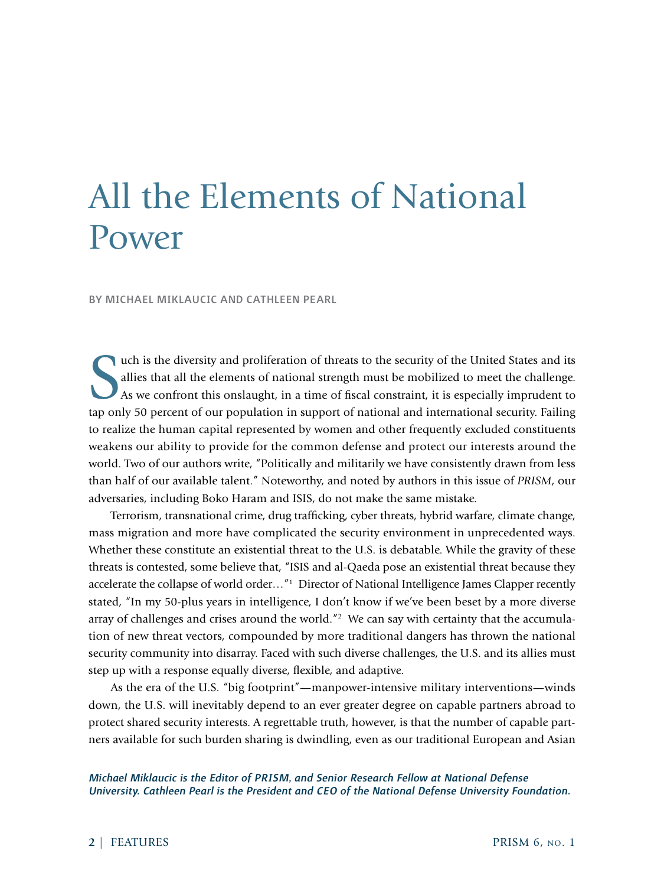# All the Elements of National Power

BY MICHAEL MIKLAUCIC AND CATHLEEN PEARL

S uch is the diversity and proliferation of threats to the security of the United States and its allies that all the elements of national strength must be mobilized to meet the challenge. As we confront this onslaught, in a time of fiscal constraint, it is especially imprudent to tap only 50 percent of our population in support of national and international security. Failing to realize the human capital represented by women and other frequently excluded constituents weakens our ability to provide for the common defense and protect our interests around the world. Two of our authors write, "Politically and militarily we have consistently drawn from less than half of our available talent." Noteworthy, and noted by authors in this issue of *PRISM*, our adversaries, including Boko Haram and ISIS, do not make the same mistake.

Terrorism, transnational crime, drug trafficking, cyber threats, hybrid warfare, climate change, mass migration and more have complicated the security environment in unprecedented ways. Whether these constitute an existential threat to the U.S. is debatable. While the gravity of these threats is contested, some believe that, "ISIS and al-Qaeda pose an existential threat because they accelerate the collapse of world order...<sup>"1</sup> Director of National Intelligence James Clapper recently stated, "In my 50-plus years in intelligence, I don't know if we've been beset by a more diverse array of challenges and crises around the world.<sup>"2</sup> We can say with certainty that the accumulation of new threat vectors, compounded by more traditional dangers has thrown the national security community into disarray. Faced with such diverse challenges, the U.S. and its allies must step up with a response equally diverse, flexible, and adaptive.

As the era of the U.S. "big footprint"—manpower-intensive military interventions—winds down, the U.S. will inevitably depend to an ever greater degree on capable partners abroad to protect shared security interests. A regrettable truth, however, is that the number of capable partners available for such burden sharing is dwindling, even as our traditional European and Asian

*Michael Miklaucic is the Editor of PRISM, and Senior Research Fellow at National Defense University. Cathleen Pearl is the President and CEO of the National Defense University Foundation.*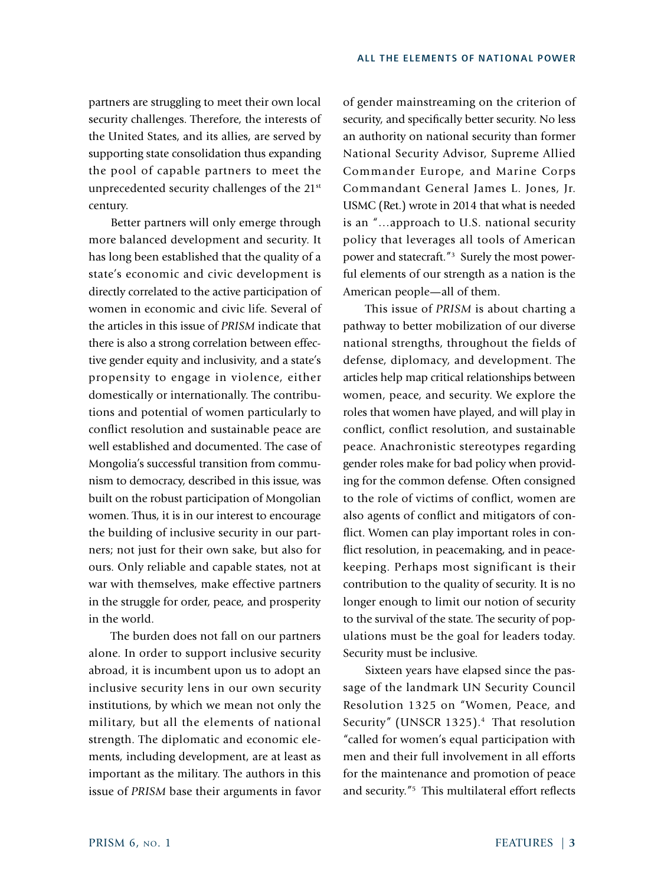partners are struggling to meet their own local security challenges. Therefore, the interests of the United States, and its allies, are served by supporting state consolidation thus expanding the pool of capable partners to meet the unprecedented security challenges of the 21<sup>st</sup> century.

Better partners will only emerge through more balanced development and security. It has long been established that the quality of a state's economic and civic development is directly correlated to the active participation of women in economic and civic life. Several of the articles in this issue of *PRISM* indicate that there is also a strong correlation between effective gender equity and inclusivity, and a state's propensity to engage in violence, either domestically or internationally. The contributions and potential of women particularly to conflict resolution and sustainable peace are well established and documented. The case of Mongolia's successful transition from communism to democracy, described in this issue, was built on the robust participation of Mongolian women. Thus, it is in our interest to encourage the building of inclusive security in our partners; not just for their own sake, but also for ours. Only reliable and capable states, not at war with themselves, make effective partners in the struggle for order, peace, and prosperity in the world.

The burden does not fall on our partners alone. In order to support inclusive security abroad, it is incumbent upon us to adopt an inclusive security lens in our own security institutions, by which we mean not only the military, but all the elements of national strength. The diplomatic and economic elements, including development, are at least as important as the military. The authors in this issue of *PRISM* base their arguments in favor of gender mainstreaming on the criterion of security, and specifically better security. No less an authority on national security than former National Security Advisor, Supreme Allied Commander Europe, and Marine Corps Commandant General James L. Jones, Jr. USMC (Ret.) wrote in 2014 that what is needed is an "…approach to U.S. national security policy that leverages all tools of American power and statecraft."3 Surely the most powerful elements of our strength as a nation is the American people—all of them.

This issue of *PRISM* is about charting a pathway to better mobilization of our diverse national strengths, throughout the fields of defense, diplomacy, and development. The articles help map critical relationships between women, peace, and security. We explore the roles that women have played, and will play in conflict, conflict resolution, and sustainable peace. Anachronistic stereotypes regarding gender roles make for bad policy when providing for the common defense. Often consigned to the role of victims of conflict, women are also agents of conflict and mitigators of conflict. Women can play important roles in conflict resolution, in peacemaking, and in peacekeeping. Perhaps most significant is their contribution to the quality of security. It is no longer enough to limit our notion of security to the survival of the state. The security of populations must be the goal for leaders today. Security must be inclusive.

Sixteen years have elapsed since the passage of the landmark UN Security Council Resolution 1325 on "Women, Peace, and Security" (UNSCR 1325).<sup>4</sup> That resolution "called for women's equal participation with men and their full involvement in all efforts for the maintenance and promotion of peace and security."5 This multilateral effort reflects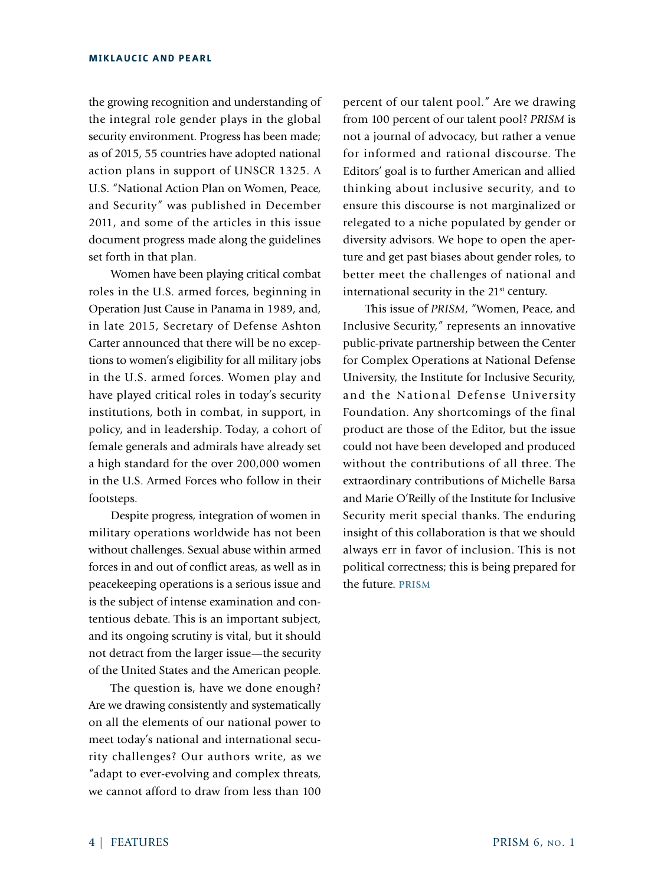## **MIKLAUCIC AND PEARL**

the growing recognition and understanding of the integral role gender plays in the global security environment. Progress has been made; as of 2015, 55 countries have adopted national action plans in support of UNSCR 1325. A U.S. "National Action Plan on Women, Peace, and Security" was published in December 2011, and some of the articles in this issue document progress made along the guidelines set forth in that plan.

Women have been playing critical combat roles in the U.S. armed forces, beginning in Operation Just Cause in Panama in 1989, and, in late 2015, Secretary of Defense Ashton Carter announced that there will be no exceptions to women's eligibility for all military jobs in the U.S. armed forces. Women play and have played critical roles in today's security institutions, both in combat, in support, in policy, and in leadership. Today, a cohort of female generals and admirals have already set a high standard for the over 200,000 women in the U.S. Armed Forces who follow in their footsteps.

Despite progress, integration of women in military operations worldwide has not been without challenges. Sexual abuse within armed forces in and out of conflict areas, as well as in peacekeeping operations is a serious issue and is the subject of intense examination and contentious debate. This is an important subject, and its ongoing scrutiny is vital, but it should not detract from the larger issue—the security of the United States and the American people.

The question is, have we done enough? Are we drawing consistently and systematically on all the elements of our national power to meet today's national and international security challenges? Our authors write, as we "adapt to ever-evolving and complex threats, we cannot afford to draw from less than 100 percent of our talent pool." Are we drawing from 100 percent of our talent pool? *PRISM* is not a journal of advocacy, but rather a venue for informed and rational discourse. The Editors' goal is to further American and allied thinking about inclusive security, and to ensure this discourse is not marginalized or relegated to a niche populated by gender or diversity advisors. We hope to open the aperture and get past biases about gender roles, to better meet the challenges of national and international security in the 21<sup>st</sup> century.

This issue of *PRISM*, "Women, Peace, and Inclusive Security," represents an innovative public-private partnership between the Center for Complex Operations at National Defense University, the Institute for Inclusive Security, and the National Defense University Foundation. Any shortcomings of the final product are those of the Editor, but the issue could not have been developed and produced without the contributions of all three. The extraordinary contributions of Michelle Barsa and Marie O'Reilly of the Institute for Inclusive Security merit special thanks. The enduring insight of this collaboration is that we should always err in favor of inclusion. This is not political correctness; this is being prepared for the future. **PRISM**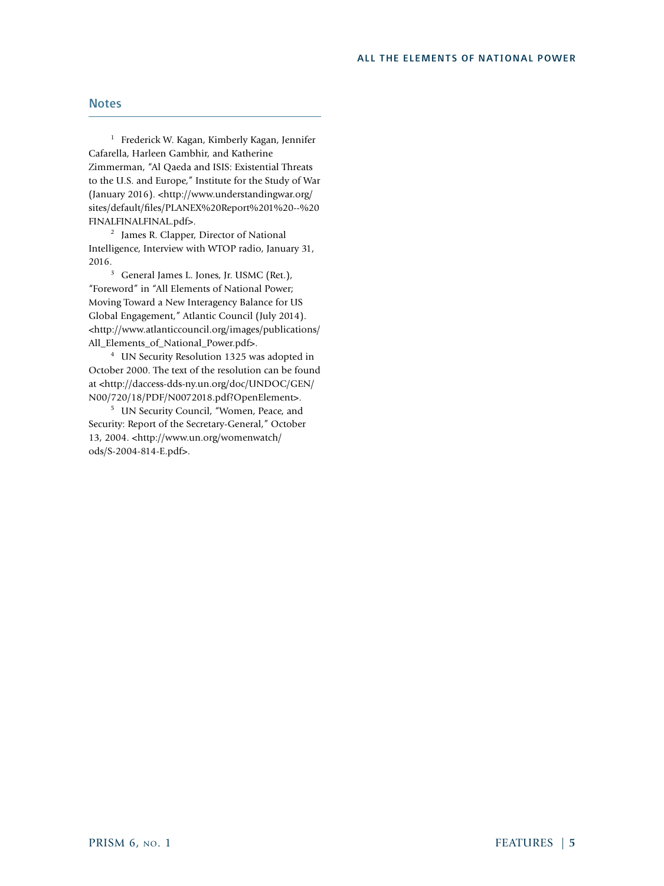#### ALL THE ELEMENTS OF NATIONAL POWER

## **Notes**

<sup>1</sup> Frederick W. Kagan, Kimberly Kagan, Jennifer Cafarella, Harleen Gambhir, and Katherine Zimmerman, "Al Qaeda and ISIS: Existential Threats to the U.S. and Europe," Institute for the Study of War (January 2016). <http://www.understandingwar.org/ sites/default/files/PLANEX%20Report%201%20--%20 FINALFINALFINAL.pdf>.

2 James R. Clapper, Director of National Intelligence, Interview with WTOP radio, January 31, 2016.

<sup>3</sup> General James L. Jones, Jr. USMC (Ret.), "Foreword" in "All Elements of National Power; Moving Toward a New Interagency Balance for US Global Engagement," Atlantic Council (July 2014). <http://www.atlanticcouncil.org/images/publications/ All Elements of National Power.pdf>.

4 UN Security Resolution 1325 was adopted in October 2000. The text of the resolution can be found at <http://daccess-dds-ny.un.org/doc/UNDOC/GEN/ N00/720/18/PDF/N0072018.pdf?OpenElement>.

5 UN Security Council, "Women, Peace, and Security: Report of the Secretary-General," October 13, 2004. <http://www.un.org/womenwatch/ ods/S-2004-814-E.pdf>.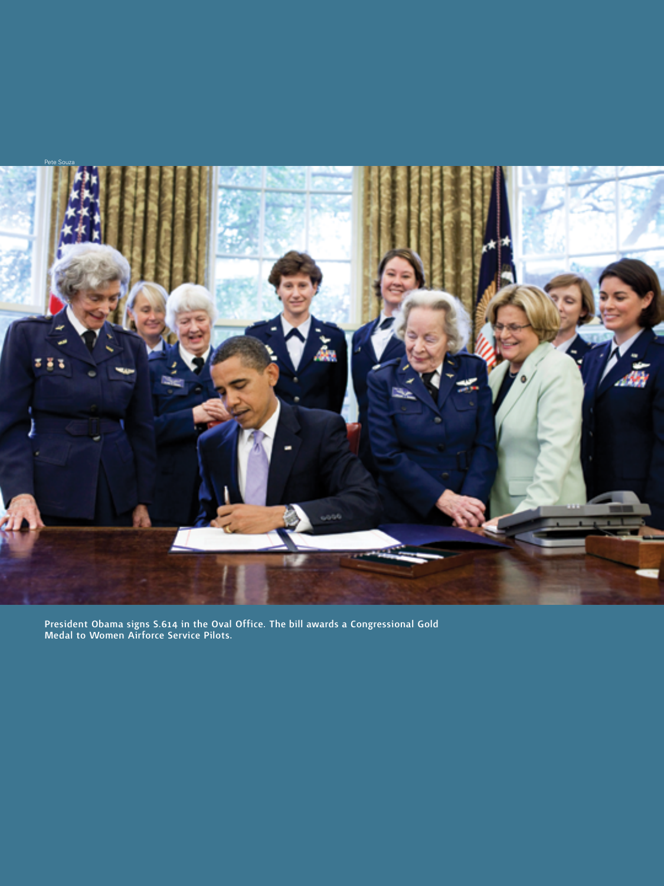

President Obama signs S.614 in the Oval Office. The bill awards a Congressional Gold Medal to Women Airforce Service Pilots.